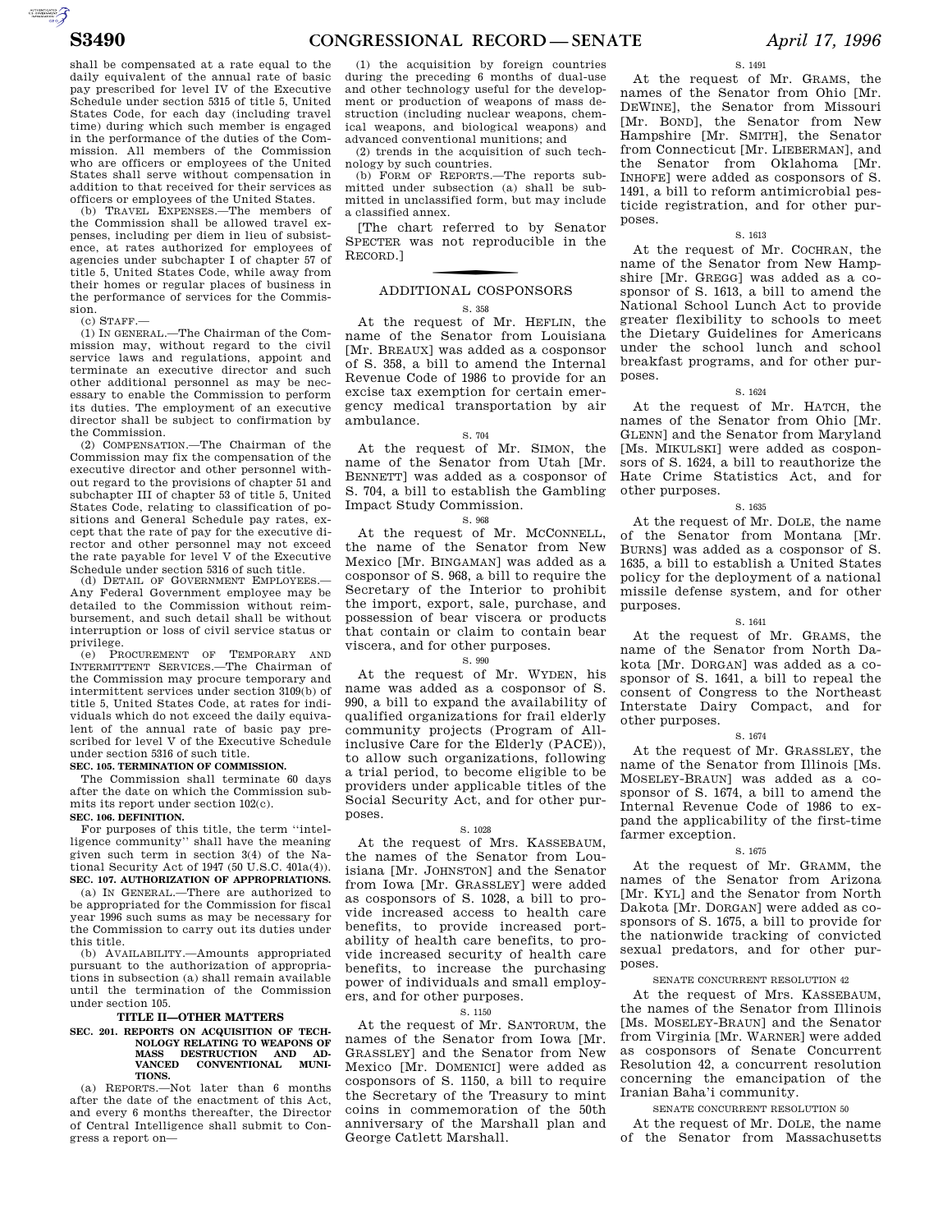shall be compensated at a rate equal to the daily equivalent of the annual rate of basic pay prescribed for level IV of the Executive Schedule under section 5315 of title 5, United States Code, for each day (including travel time) during which such member is engaged in the performance of the duties of the Commission. All members of the Commission who are officers or employees of the United States shall serve without compensation in addition to that received for their services as

officers or employees of the United States. (b) TRAVEL EXPENSES.—The members of the Commission shall be allowed travel expenses, including per diem in lieu of subsistence, at rates authorized for employees of agencies under subchapter I of chapter 57 of title 5, United States Code, while away from their homes or regular places of business in the performance of services for the Commission.

(c) STAFF.—

(1) IN GENERAL.—The Chairman of the Commission may, without regard to the civil service laws and regulations, appoint and terminate an executive director and such other additional personnel as may be necessary to enable the Commission to perform its duties. The employment of an executive director shall be subject to confirmation by the Commission.

(2) COMPENSATION.—The Chairman of the Commission may fix the compensation of the executive director and other personnel without regard to the provisions of chapter 51 and subchapter III of chapter 53 of title 5, United States Code, relating to classification of positions and General Schedule pay rates, except that the rate of pay for the executive director and other personnel may not exceed the rate payable for level V of the Executive Schedule under section 5316 of such title.

(d) DETAIL OF GOVERNMENT EMPLOYEES.— Any Federal Government employee may be detailed to the Commission without reimbursement, and such detail shall be without interruption or loss of civil service status or privilege.

(e) PROCUREMENT OF TEMPORARY AND INTERMITTENT SERVICES.—The Chairman of the Commission may procure temporary and intermittent services under section 3109(b) of title 5, United States Code, at rates for individuals which do not exceed the daily equivalent of the annual rate of basic pay prescribed for level V of the Executive Schedule under section 5316 of such title.

#### **SEC. 105. TERMINATION OF COMMISSION.**

The Commission shall terminate 60 days after the date on which the Commission submits its report under section 102(c). **SEC. 106. DEFINITION.** 

For purposes of this title, the term ''intelligence community'' shall have the meaning given such term in section 3(4) of the National Security Act of 1947 (50 U.S.C. 401a(4)). **SEC. 107. AUTHORIZATION OF APPROPRIATIONS.** 

(a) IN GENERAL.—There are authorized to be appropriated for the Commission for fiscal year 1996 such sums as may be necessary for the Commission to carry out its duties under this title.

(b) AVAILABILITY.—Amounts appropriated pursuant to the authorization of appropriations in subsection (a) shall remain available until the termination of the Commission under section 105.

#### **TITLE II—OTHER MATTERS**

## **SEC. 201. REPORTS ON ACQUISITION OF TECH-NOLOGY RELATING TO WEAPONS OF MASS DESTRUCTION AND AD-VANCED CONVENTIONAL MUNI-TIONS.**

(a) REPORTS.—Not later than 6 months after the date of the enactment of this Act, and every 6 months thereafter, the Director of Central Intelligence shall submit to Congress a report on—

(1) the acquisition by foreign countries during the preceding 6 months of dual-use and other technology useful for the development or production of weapons of mass destruction (including nuclear weapons, chemical weapons, and biological weapons) and advanced conventional munitions; and

(2) trends in the acquisition of such technology by such countries.

(b) FORM OF REPORTS.—The reports submitted under subsection (a) shall be submitted in unclassified form, but may include a classified annex.

[The chart referred to by Senator SPECTER was not reproducible in the RECORD.]

# f ADDITIONAL COSPONSORS

## S. 358

At the request of Mr. HEFLIN, the name of the Senator from Louisiana [Mr. BREAUX] was added as a cosponsor of S. 358, a bill to amend the Internal Revenue Code of 1986 to provide for an excise tax exemption for certain emergency medical transportation by air ambulance.

#### S. 704

At the request of Mr. SIMON, the name of the Senator from Utah [Mr. BENNETT] was added as a cosponsor of S. 704, a bill to establish the Gambling Impact Study Commission.

### S. 968

At the request of Mr. MCCONNELL, the name of the Senator from New Mexico [Mr. BINGAMAN] was added as a cosponsor of S. 968, a bill to require the Secretary of the Interior to prohibit the import, export, sale, purchase, and possession of bear viscera or products that contain or claim to contain bear viscera, and for other purposes.

## S. 990

At the request of Mr. WYDEN, his name was added as a cosponsor of S. 990, a bill to expand the availability of qualified organizations for frail elderly community projects (Program of Allinclusive Care for the Elderly (PACE)), to allow such organizations, following a trial period, to become eligible to be providers under applicable titles of the Social Security Act, and for other purposes.

#### S. 1028

At the request of Mrs. KASSEBAUM, the names of the Senator from Louisiana [Mr. JOHNSTON] and the Senator from Iowa [Mr. GRASSLEY] were added as cosponsors of S. 1028, a bill to provide increased access to health care benefits, to provide increased portability of health care benefits, to provide increased security of health care benefits, to increase the purchasing power of individuals and small employers, and for other purposes.

#### S. 1150

At the request of Mr. SANTORUM, the names of the Senator from Iowa [Mr. GRASSLEY] and the Senator from New Mexico [Mr. DOMENICI] were added as cosponsors of S. 1150, a bill to require the Secretary of the Treasury to mint coins in commemoration of the 50th anniversary of the Marshall plan and George Catlett Marshall.

S. 1491

At the request of Mr. GRAMS, the names of the Senator from Ohio [Mr. DEWINE], the Senator from Missouri [Mr. BOND], the Senator from New Hampshire [Mr. SMITH], the Senator from Connecticut [Mr. LIEBERMAN], and the Senator from Oklahoma [Mr. INHOFE] were added as cosponsors of S. 1491, a bill to reform antimicrobial pesticide registration, and for other purposes.

#### S. 1613

At the request of Mr. COCHRAN, the name of the Senator from New Hampshire [Mr. GREGG] was added as a cosponsor of S. 1613, a bill to amend the National School Lunch Act to provide greater flexibility to schools to meet the Dietary Guidelines for Americans under the school lunch and school breakfast programs, and for other purposes.

#### S. 1624

At the request of Mr. HATCH, the names of the Senator from Ohio [Mr. GLENN] and the Senator from Maryland [Ms. MIKULSKI] were added as cosponsors of S. 1624, a bill to reauthorize the Hate Crime Statistics Act, and for other purposes.

## S. 1635

At the request of Mr. DOLE, the name of the Senator from Montana [Mr. BURNS] was added as a cosponsor of S. 1635, a bill to establish a United States policy for the deployment of a national missile defense system, and for other purposes.

#### S. 1641

At the request of Mr. GRAMS, the name of the Senator from North Dakota [Mr. DORGAN] was added as a cosponsor of S. 1641, a bill to repeal the consent of Congress to the Northeast Interstate Dairy Compact, and for other purposes.

#### S. 1674

At the request of Mr. GRASSLEY, the name of the Senator from Illinois [Ms. MOSELEY-BRAUN] was added as a cosponsor of S. 1674, a bill to amend the Internal Revenue Code of 1986 to expand the applicability of the first-time farmer exception.

#### S. 1675

At the request of Mr. GRAMM, the names of the Senator from Arizona [Mr. KYL] and the Senator from North Dakota [Mr. DORGAN] were added as cosponsors of S. 1675, a bill to provide for the nationwide tracking of convicted sexual predators, and for other purposes.

#### SENATE CONCURRENT RESOLUTION 42

At the request of Mrs. KASSEBAUM, the names of the Senator from Illinois [Ms. MOSELEY-BRAUN] and the Senator from Virginia [Mr. WARNER] were added as cosponsors of Senate Concurrent Resolution 42, a concurrent resolution concerning the emancipation of the Iranian Baha'i community.

SENATE CONCURRENT RESOLUTION 50

At the request of Mr. DOLE, the name of the Senator from Massachusetts

AUTOROTOMICALE